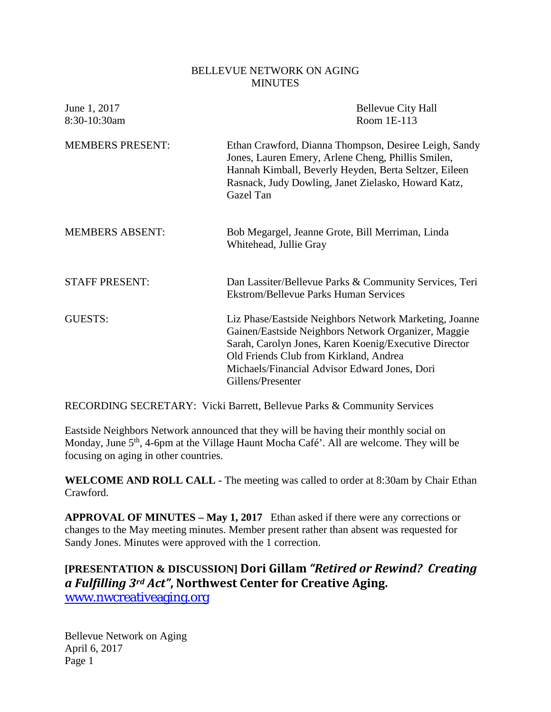### BELLEVUE NETWORK ON AGING **MINUTES**

| <b>Bellevue City Hall</b><br>Room 1E-113                                                                                                                                                                                                                                               |
|----------------------------------------------------------------------------------------------------------------------------------------------------------------------------------------------------------------------------------------------------------------------------------------|
| Ethan Crawford, Dianna Thompson, Desiree Leigh, Sandy<br>Jones, Lauren Emery, Arlene Cheng, Phillis Smilen,<br>Hannah Kimball, Beverly Heyden, Berta Seltzer, Eileen<br>Rasnack, Judy Dowling, Janet Zielasko, Howard Katz,<br>Gazel Tan                                               |
| Bob Megargel, Jeanne Grote, Bill Merriman, Linda<br>Whitehead, Jullie Gray                                                                                                                                                                                                             |
| Dan Lassiter/Bellevue Parks & Community Services, Teri<br><b>Ekstrom/Bellevue Parks Human Services</b>                                                                                                                                                                                 |
| Liz Phase/Eastside Neighbors Network Marketing, Joanne<br>Gainen/Eastside Neighbors Network Organizer, Maggie<br>Sarah, Carolyn Jones, Karen Koenig/Executive Director<br>Old Friends Club from Kirkland, Andrea<br>Michaels/Financial Advisor Edward Jones, Dori<br>Gillens/Presenter |
|                                                                                                                                                                                                                                                                                        |

RECORDING SECRETARY: Vicki Barrett, Bellevue Parks & Community Services

Eastside Neighbors Network announced that they will be having their monthly social on Monday, June 5<sup>th</sup>, 4-6pm at the Village Haunt Mocha Café'. All are welcome. They will be focusing on aging in other countries.

**WELCOME AND ROLL CALL -** The meeting was called to order at 8:30am by Chair Ethan Crawford.

**APPROVAL OF MINUTES – May 1, 2017** Ethan asked if there were any corrections or changes to the May meeting minutes. Member present rather than absent was requested for Sandy Jones. Minutes were approved with the 1 correction.

**[PRESENTATION & DISCUSSION] Dori Gillam** *"Retired or Rewind? Creating a Fulfilling 3rd Act"***, Northwest Center for Creative Aging.**  [www.nwcreativeaging.org](http://www.nwcreativeaging.org/)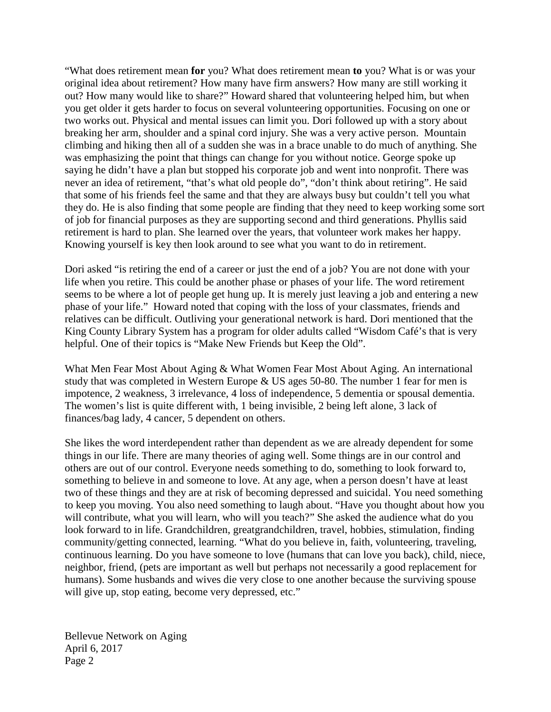"What does retirement mean **for** you? What does retirement mean **to** you? What is or was your original idea about retirement? How many have firm answers? How many are still working it out? How many would like to share?" Howard shared that volunteering helped him, but when you get older it gets harder to focus on several volunteering opportunities. Focusing on one or two works out. Physical and mental issues can limit you. Dori followed up with a story about breaking her arm, shoulder and a spinal cord injury. She was a very active person. Mountain climbing and hiking then all of a sudden she was in a brace unable to do much of anything. She was emphasizing the point that things can change for you without notice. George spoke up saying he didn't have a plan but stopped his corporate job and went into nonprofit. There was never an idea of retirement, "that's what old people do", "don't think about retiring". He said that some of his friends feel the same and that they are always busy but couldn't tell you what they do. He is also finding that some people are finding that they need to keep working some sort of job for financial purposes as they are supporting second and third generations. Phyllis said retirement is hard to plan. She learned over the years, that volunteer work makes her happy. Knowing yourself is key then look around to see what you want to do in retirement.

Dori asked "is retiring the end of a career or just the end of a job? You are not done with your life when you retire. This could be another phase or phases of your life. The word retirement seems to be where a lot of people get hung up. It is merely just leaving a job and entering a new phase of your life." Howard noted that coping with the loss of your classmates, friends and relatives can be difficult. Outliving your generational network is hard. Dori mentioned that the King County Library System has a program for older adults called "Wisdom Café's that is very helpful. One of their topics is "Make New Friends but Keep the Old".

What Men Fear Most About Aging & What Women Fear Most About Aging. An international study that was completed in Western Europe & US ages 50-80. The number 1 fear for men is impotence, 2 weakness, 3 irrelevance, 4 loss of independence, 5 dementia or spousal dementia. The women's list is quite different with, 1 being invisible, 2 being left alone, 3 lack of finances/bag lady, 4 cancer, 5 dependent on others.

She likes the word interdependent rather than dependent as we are already dependent for some things in our life. There are many theories of aging well. Some things are in our control and others are out of our control. Everyone needs something to do, something to look forward to, something to believe in and someone to love. At any age, when a person doesn't have at least two of these things and they are at risk of becoming depressed and suicidal. You need something to keep you moving. You also need something to laugh about. "Have you thought about how you will contribute, what you will learn, who will you teach?" She asked the audience what do you look forward to in life. Grandchildren, greatgrandchildren, travel, hobbies, stimulation, finding community/getting connected, learning. "What do you believe in, faith, volunteering, traveling, continuous learning. Do you have someone to love (humans that can love you back), child, niece, neighbor, friend, (pets are important as well but perhaps not necessarily a good replacement for humans). Some husbands and wives die very close to one another because the surviving spouse will give up, stop eating, become very depressed, etc."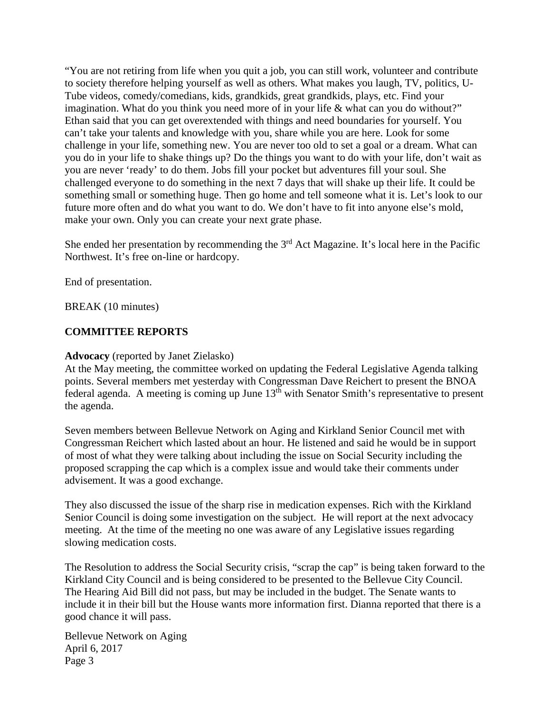"You are not retiring from life when you quit a job, you can still work, volunteer and contribute to society therefore helping yourself as well as others. What makes you laugh, TV, politics, U-Tube videos, comedy/comedians, kids, grandkids, great grandkids, plays, etc. Find your imagination. What do you think you need more of in your life & what can you do without?" Ethan said that you can get overextended with things and need boundaries for yourself. You can't take your talents and knowledge with you, share while you are here. Look for some challenge in your life, something new. You are never too old to set a goal or a dream. What can you do in your life to shake things up? Do the things you want to do with your life, don't wait as you are never 'ready' to do them. Jobs fill your pocket but adventures fill your soul. She challenged everyone to do something in the next 7 days that will shake up their life. It could be something small or something huge. Then go home and tell someone what it is. Let's look to our future more often and do what you want to do. We don't have to fit into anyone else's mold, make your own. Only you can create your next grate phase.

She ended her presentation by recommending the  $3<sup>rd</sup>$  Act Magazine. It's local here in the Pacific Northwest. It's free on-line or hardcopy.

End of presentation.

BREAK (10 minutes)

## **COMMITTEE REPORTS**

### **Advocacy** (reported by Janet Zielasko)

At the May meeting, the committee worked on updating the Federal Legislative Agenda talking points. Several members met yesterday with Congressman Dave Reichert to present the BNOA federal agenda. A meeting is coming up June  $13<sup>th</sup>$  with Senator Smith's representative to present the agenda.

Seven members between Bellevue Network on Aging and Kirkland Senior Council met with Congressman Reichert which lasted about an hour. He listened and said he would be in support of most of what they were talking about including the issue on Social Security including the proposed scrapping the cap which is a complex issue and would take their comments under advisement. It was a good exchange.

They also discussed the issue of the sharp rise in medication expenses. Rich with the Kirkland Senior Council is doing some investigation on the subject. He will report at the next advocacy meeting. At the time of the meeting no one was aware of any Legislative issues regarding slowing medication costs.

The Resolution to address the Social Security crisis, "scrap the cap" is being taken forward to the Kirkland City Council and is being considered to be presented to the Bellevue City Council. The Hearing Aid Bill did not pass, but may be included in the budget. The Senate wants to include it in their bill but the House wants more information first. Dianna reported that there is a good chance it will pass.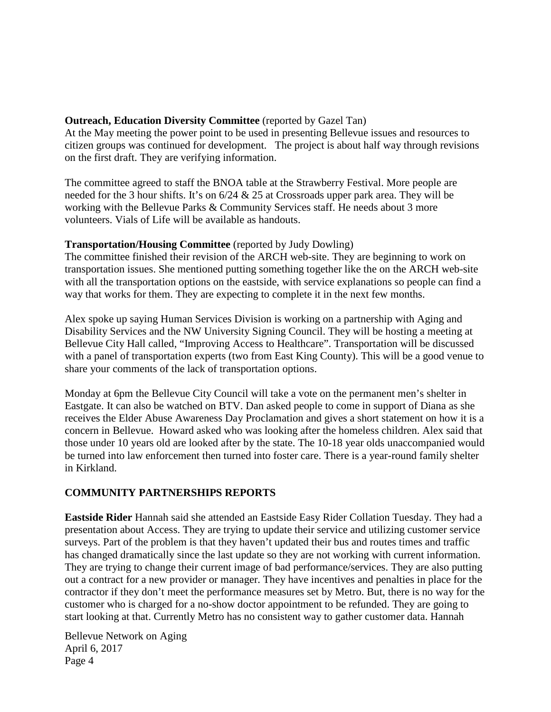## **Outreach, Education Diversity Committee** (reported by Gazel Tan)

At the May meeting the power point to be used in presenting Bellevue issues and resources to citizen groups was continued for development. The project is about half way through revisions on the first draft. They are verifying information.

The committee agreed to staff the BNOA table at the Strawberry Festival. More people are needed for the 3 hour shifts. It's on 6/24 & 25 at Crossroads upper park area. They will be working with the Bellevue Parks & Community Services staff. He needs about 3 more volunteers. Vials of Life will be available as handouts.

## **Transportation/Housing Committee** (reported by Judy Dowling)

The committee finished their revision of the ARCH web-site. They are beginning to work on transportation issues. She mentioned putting something together like the on the ARCH web-site with all the transportation options on the eastside, with service explanations so people can find a way that works for them. They are expecting to complete it in the next few months.

Alex spoke up saying Human Services Division is working on a partnership with Aging and Disability Services and the NW University Signing Council. They will be hosting a meeting at Bellevue City Hall called, "Improving Access to Healthcare". Transportation will be discussed with a panel of transportation experts (two from East King County). This will be a good venue to share your comments of the lack of transportation options.

Monday at 6pm the Bellevue City Council will take a vote on the permanent men's shelter in Eastgate. It can also be watched on BTV. Dan asked people to come in support of Diana as she receives the Elder Abuse Awareness Day Proclamation and gives a short statement on how it is a concern in Bellevue. Howard asked who was looking after the homeless children. Alex said that those under 10 years old are looked after by the state. The 10-18 year olds unaccompanied would be turned into law enforcement then turned into foster care. There is a year-round family shelter in Kirkland.

## **COMMUNITY PARTNERSHIPS REPORTS**

**Eastside Rider** Hannah said she attended an Eastside Easy Rider Collation Tuesday. They had a presentation about Access. They are trying to update their service and utilizing customer service surveys. Part of the problem is that they haven't updated their bus and routes times and traffic has changed dramatically since the last update so they are not working with current information. They are trying to change their current image of bad performance/services. They are also putting out a contract for a new provider or manager. They have incentives and penalties in place for the contractor if they don't meet the performance measures set by Metro. But, there is no way for the customer who is charged for a no-show doctor appointment to be refunded. They are going to start looking at that. Currently Metro has no consistent way to gather customer data. Hannah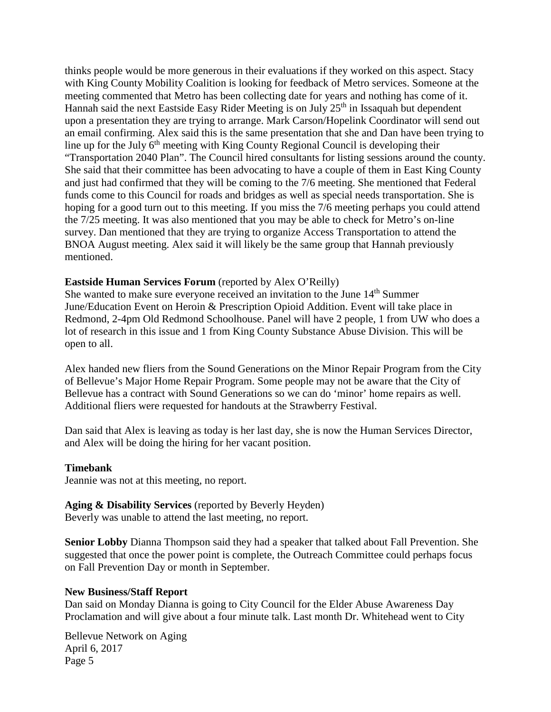thinks people would be more generous in their evaluations if they worked on this aspect. Stacy with King County Mobility Coalition is looking for feedback of Metro services. Someone at the meeting commented that Metro has been collecting date for years and nothing has come of it. Hannah said the next Eastside Easy Rider Meeting is on July  $25<sup>th</sup>$  in Issaquah but dependent upon a presentation they are trying to arrange. Mark Carson/Hopelink Coordinator will send out an email confirming. Alex said this is the same presentation that she and Dan have been trying to line up for the July  $6<sup>th</sup>$  meeting with King County Regional Council is developing their "Transportation 2040 Plan". The Council hired consultants for listing sessions around the county. She said that their committee has been advocating to have a couple of them in East King County and just had confirmed that they will be coming to the 7/6 meeting. She mentioned that Federal funds come to this Council for roads and bridges as well as special needs transportation. She is hoping for a good turn out to this meeting. If you miss the 7/6 meeting perhaps you could attend the 7/25 meeting. It was also mentioned that you may be able to check for Metro's on-line survey. Dan mentioned that they are trying to organize Access Transportation to attend the BNOA August meeting. Alex said it will likely be the same group that Hannah previously mentioned.

### **Eastside Human Services Forum** (reported by Alex O'Reilly)

She wanted to make sure everyone received an invitation to the June 14<sup>th</sup> Summer June/Education Event on Heroin & Prescription Opioid Addition. Event will take place in Redmond, 2-4pm Old Redmond Schoolhouse. Panel will have 2 people, 1 from UW who does a lot of research in this issue and 1 from King County Substance Abuse Division. This will be open to all.

Alex handed new fliers from the Sound Generations on the Minor Repair Program from the City of Bellevue's Major Home Repair Program. Some people may not be aware that the City of Bellevue has a contract with Sound Generations so we can do 'minor' home repairs as well. Additional fliers were requested for handouts at the Strawberry Festival.

Dan said that Alex is leaving as today is her last day, she is now the Human Services Director, and Alex will be doing the hiring for her vacant position.

#### **Timebank**

Jeannie was not at this meeting, no report.

**Aging & Disability Services** (reported by Beverly Heyden) Beverly was unable to attend the last meeting, no report.

**Senior Lobby** Dianna Thompson said they had a speaker that talked about Fall Prevention. She suggested that once the power point is complete, the Outreach Committee could perhaps focus on Fall Prevention Day or month in September.

#### **New Business/Staff Report**

Dan said on Monday Dianna is going to City Council for the Elder Abuse Awareness Day Proclamation and will give about a four minute talk. Last month Dr. Whitehead went to City